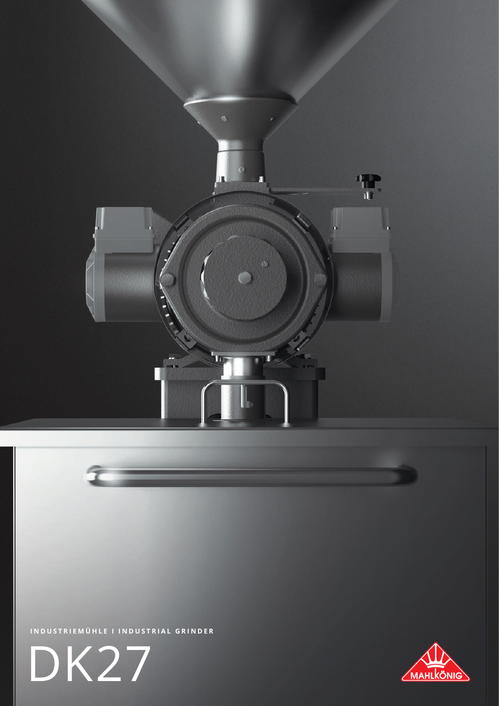